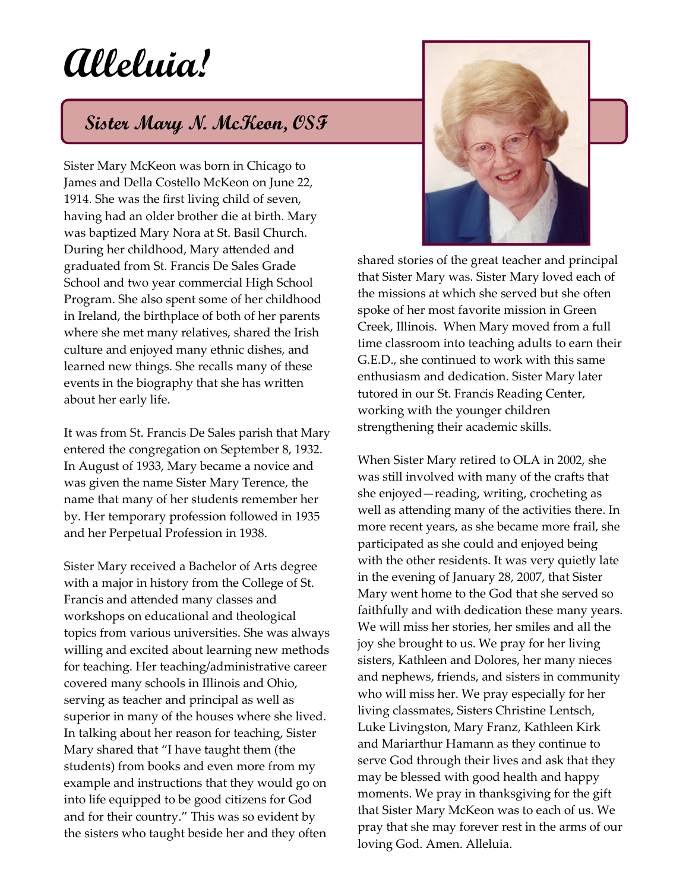## **Alleluia!**

## **Sister Mary N. McKeon, OSF**

Sister Mary McKeon was born in Chicago to James and Della Costello McKeon on June 22, 1914. She was the first living child of seven, having had an older brother die at birth. Mary was baptized Mary Nora at St. Basil Church. During her childhood, Mary attended and graduated from St. Francis De Sales Grade School and two year commercial High School Program. She also spent some of her childhood in Ireland, the birthplace of both of her parents where she met many relatives, shared the Irish culture and enjoyed many ethnic dishes, and learned new things. She recalls many of these events in the biography that she has written about her early life.

It was from St. Francis De Sales parish that Mary entered the congregation on September 8, 1932. In August of 1933, Mary became a novice and was given the name Sister Mary Terence, the name that many of her students remember her by. Her temporary profession followed in 1935 and her Perpetual Profession in 1938.

Sister Mary received a Bachelor of Arts degree with a major in history from the College of St. Francis and attended many classes and workshops on educational and theological topics from various universities. She was always willing and excited about learning new methods for teaching. Her teaching/administrative career covered many schools in Illinois and Ohio, serving as teacher and principal as well as superior in many of the houses where she lived. In talking about her reason for teaching, Sister Mary shared that "I have taught them (the students) from books and even more from my example and instructions that they would go on into life equipped to be good citizens for God and for their country." This was so evident by the sisters who taught beside her and they often



shared stories of the great teacher and principal that Sister Mary was. Sister Mary loved each of the missions at which she served but she often spoke of her most favorite mission in Green Creek, Illinois. When Mary moved from a full time classroom into teaching adults to earn their G.E.D., she continued to work with this same enthusiasm and dedication. Sister Mary later tutored in our St. Francis Reading Center, working with the younger children strengthening their academic skills.

When Sister Mary retired to OLA in 2002, she was still involved with many of the crafts that she enjoyed—reading, writing, crocheting as well as attending many of the activities there. In more recent years, as she became more frail, she participated as she could and enjoyed being with the other residents. It was very quietly late in the evening of January 28, 2007, that Sister Mary went home to the God that she served so faithfully and with dedication these many years. We will miss her stories, her smiles and all the joy she brought to us. We pray for her living sisters, Kathleen and Dolores, her many nieces and nephews, friends, and sisters in community who will miss her. We pray especially for her living classmates, Sisters Christine Lentsch, Luke Livingston, Mary Franz, Kathleen Kirk and Mariarthur Hamann as they continue to serve God through their lives and ask that they may be blessed with good health and happy moments. We pray in thanksgiving for the gift that Sister Mary McKeon was to each of us. We pray that she may forever rest in the arms of our loving God. Amen. Alleluia.